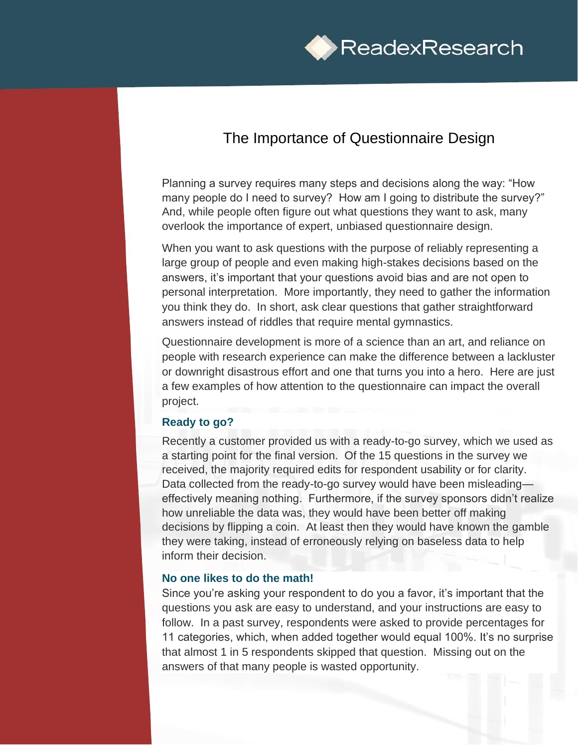

## The Importance of Questionnaire Design

Planning a survey requires many steps and decisions along the way: "How many people do I need to survey? How am I going to distribute the survey?" And, while people often figure out what questions they want to ask, many overlook the importance of expert, unbiased questionnaire design.

When you want to ask questions with the purpose of reliably representing a large group of people and even making high-stakes decisions based on the answers, it's important that your questions avoid bias and are not open to personal interpretation. More importantly, they need to gather the information you think they do. In short, ask clear questions that gather straightforward answers instead of riddles that require mental gymnastics.

Questionnaire development is more of a science than an art, and reliance on people with research experience can make the difference between a lackluster or downright disastrous effort and one that turns you into a hero. Here are just a few examples of how attention to the questionnaire can impact the overall project.

## **Ready to go?**

Recently a customer provided us with a ready-to-go survey, which we used as a starting point for the final version. Of the 15 questions in the survey we received, the majority required edits for respondent usability or for clarity. Data collected from the ready-to-go survey would have been misleading effectively meaning nothing. Furthermore, if the survey sponsors didn't realize how unreliable the data was, they would have been better off making decisions by flipping a coin. At least then they would have known the gamble they were taking, instead of erroneously relying on baseless data to help inform their decision.

## **No one likes to do the math!**

Since you're asking your respondent to do you a favor, it's important that the questions you ask are easy to understand, and your instructions are easy to follow. In a past survey, respondents were asked to provide percentages for 11 categories, which, when added together would equal 100%. It's no surprise that almost 1 in 5 respondents skipped that question. Missing out on the answers of that many people is wasted opportunity.